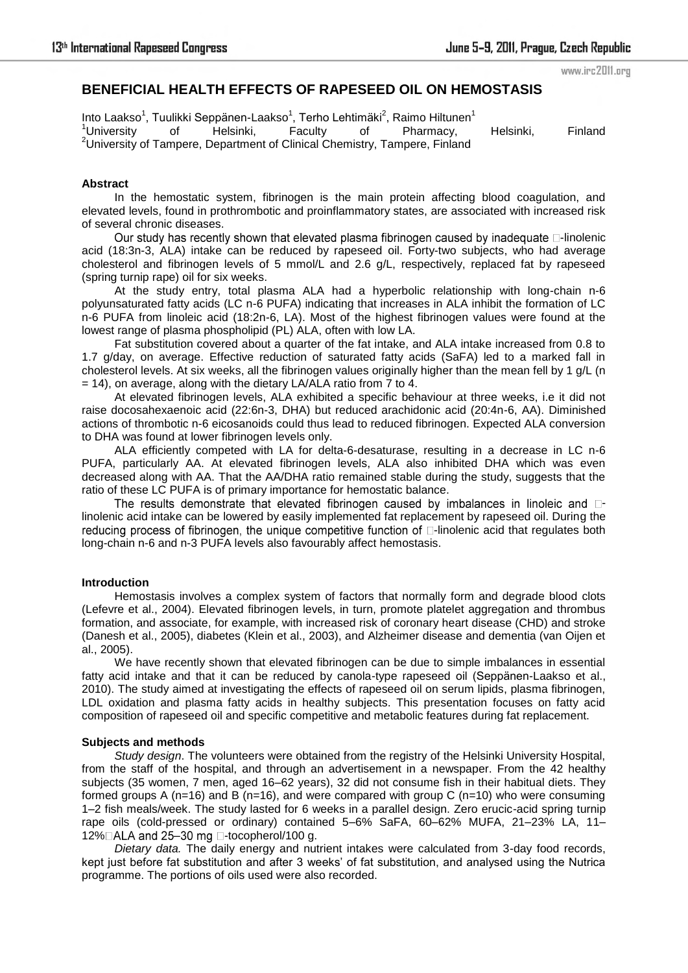### www.irc2011.org

# **BENEFICIAL HEALTH EFFECTS OF RAPESEED OIL ON HEMOSTASIS**

Into Laakso<sup>1</sup>, Tuulikki Seppänen-Laakso<sup>1</sup>, Terho Lehtimäki<sup>2</sup>, Raimo Hiltunen<sup>1</sup> <sup>1</sup>University of Helsinki, Faculty of Pharmacy, Helsinki, Finland <sup>2</sup>University of Tampere, Department of Clinical Chemistry, Tampere, Finland

### **Abstract**

 In the hemostatic system, fibrinogen is the main protein affecting blood coagulation, and elevated levels, found in prothrombotic and proinflammatory states, are associated with increased risk of several chronic diseases.

Our study has recently shown that elevated plasma fibrinogen caused by inadequate  $\square$ -linolenic acid (18:3n-3, ALA) intake can be reduced by rapeseed oil. Forty-two subjects, who had average cholesterol and fibrinogen levels of 5 mmol/L and 2.6 g/L, respectively, replaced fat by rapeseed (spring turnip rape) oil for six weeks.

At the study entry, total plasma ALA had a hyperbolic relationship with long-chain n-6 polyunsaturated fatty acids (LC n-6 PUFA) indicating that increases in ALA inhibit the formation of LC n-6 PUFA from linoleic acid (18:2n-6, LA). Most of the highest fibrinogen values were found at the lowest range of plasma phospholipid (PL) ALA, often with low LA.

Fat substitution covered about a quarter of the fat intake, and ALA intake increased from 0.8 to 1.7 g/day, on average. Effective reduction of saturated fatty acids (SaFA) led to a marked fall in cholesterol levels. At six weeks, all the fibrinogen values originally higher than the mean fell by 1 g/L (n  $= 14$ ), on average, along with the dietary LA/ALA ratio from  $\overline{7}$  to 4.

At elevated fibrinogen levels, ALA exhibited a specific behaviour at three weeks, i.e it did not raise docosahexaenoic acid (22:6n-3, DHA) but reduced arachidonic acid (20:4n-6, AA). Diminished actions of thrombotic n-6 eicosanoids could thus lead to reduced fibrinogen. Expected ALA conversion to DHA was found at lower fibrinogen levels only.

ALA efficiently competed with LA for delta-6-desaturase, resulting in a decrease in LC n-6 PUFA, particularly AA. At elevated fibrinogen levels, ALA also inhibited DHA which was even decreased along with AA. That the AA/DHA ratio remained stable during the study, suggests that the ratio of these LC PUFA is of primary importance for hemostatic balance.

The results demonstrate that elevated fibrinogen caused by imbalances in linoleic and  $\Box$ linolenic acid intake can be lowered by easily implemented fat replacement by rapeseed oil. During the reducing process of fibrinogen, the unique competitive function of  $\Box$ -linolenic acid that regulates both long-chain n-6 and n-3 PUFA levels also favourably affect hemostasis.

## **Introduction**

Hemostasis involves a complex system of factors that normally form and degrade blood clots (Lefevre et al., 2004). Elevated fibrinogen levels, in turn, promote platelet aggregation and thrombus formation, and associate, for example, with increased risk of coronary heart disease (CHD) and stroke (Danesh et al., 2005), diabetes (Klein et al., 2003), and Alzheimer disease and dementia (van Oijen et al., 2005).

We have recently shown that elevated fibrinogen can be due to simple imbalances in essential fatty acid intake and that it can be reduced by canola-type rapeseed oil (Seppänen-Laakso et al., 2010). The study aimed at investigating the effects of rapeseed oil on serum lipids, plasma fibrinogen, LDL oxidation and plasma fatty acids in healthy subjects. This presentation focuses on fatty acid composition of rapeseed oil and specific competitive and metabolic features during fat replacement.

#### **Subjects and methods**

*Study design*. The volunteers were obtained from the registry of the Helsinki University Hospital, from the staff of the hospital, and through an advertisement in a newspaper. From the 42 healthy subjects (35 women, 7 men, aged 16–62 years), 32 did not consume fish in their habitual diets. They formed groups A (n=16) and B (n=16), and were compared with group C (n=10) who were consuming 1–2 fish meals/week. The study lasted for 6 weeks in a parallel design. Zero erucic-acid spring turnip rape oils (cold-pressed or ordinary) contained 5–6% SaFA, 60–62% MUFA, 21–23% LA, 11– 12% $\Box$ ALA and 25-30 mg  $\Box$ -tocopherol/100 g.

*Dietary data.* The daily energy and nutrient intakes were calculated from 3-day food records, kept just before fat substitution and after 3 weeks' of fat substitution, and analysed using the Nutrica programme. The portions of oils used were also recorded.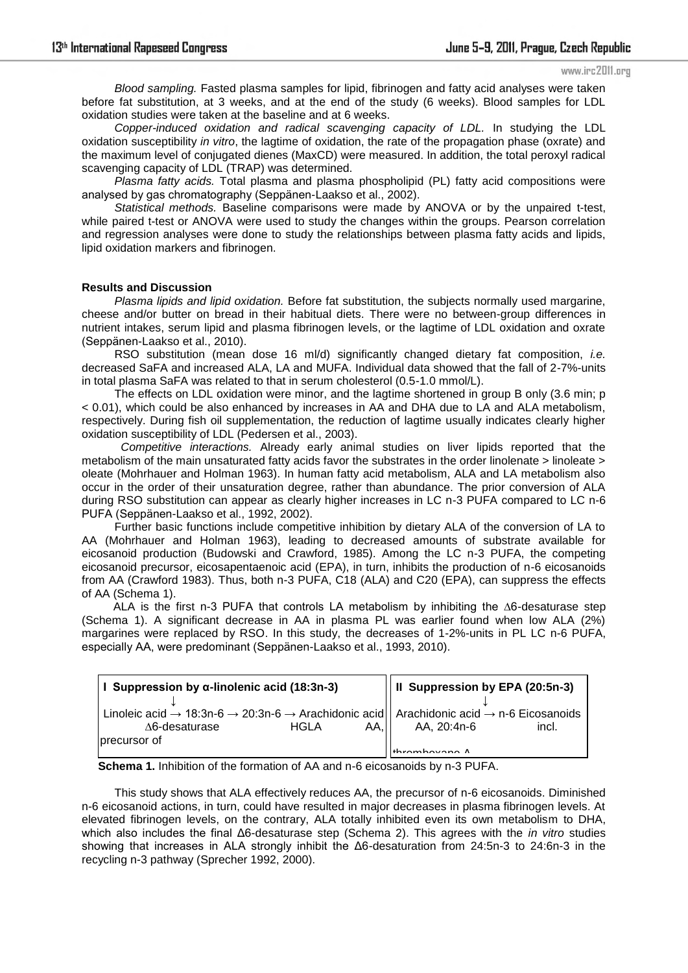#### www.irc2011.org

*Blood sampling.* Fasted plasma samples for lipid, fibrinogen and fatty acid analyses were taken before fat substitution, at 3 weeks, and at the end of the study (6 weeks). Blood samples for LDL oxidation studies were taken at the baseline and at 6 weeks.

*Copper-induced oxidation and radical scavenging capacity of LDL.* In studying the LDL oxidation susceptibility *in vitro*, the lagtime of oxidation, the rate of the propagation phase (oxrate) and the maximum level of conjugated dienes (MaxCD) were measured. In addition, the total peroxyl radical scavenging capacity of LDL (TRAP) was determined.

*Plasma fatty acids.* Total plasma and plasma phospholipid (PL) fatty acid compositions were analysed by gas chromatography (Seppänen-Laakso et al., 2002).

*Statistical methods.* Baseline comparisons were made by ANOVA or by the unpaired t-test, while paired t-test or ANOVA were used to study the changes within the groups. Pearson correlation and regression analyses were done to study the relationships between plasma fatty acids and lipids, lipid oxidation markers and fibrinogen.

### **Results and Discussion**

*Plasma lipids and lipid oxidation.* Before fat substitution, the subjects normally used margarine, cheese and/or butter on bread in their habitual diets. There were no between-group differences in nutrient intakes, serum lipid and plasma fibrinogen levels, or the lagtime of LDL oxidation and oxrate (Seppänen-Laakso et al., 2010).

RSO substitution (mean dose 16 ml/d) significantly changed dietary fat composition, *i.e.* decreased SaFA and increased ALA, LA and MUFA. Individual data showed that the fall of 2-7%-units in total plasma SaFA was related to that in serum cholesterol (0.5-1.0 mmol/L).

The effects on LDL oxidation were minor, and the lagtime shortened in group B only (3.6 min; p < 0.01), which could be also enhanced by increases in AA and DHA due to LA and ALA metabolism, respectively. During fish oil supplementation, the reduction of lagtime usually indicates clearly higher oxidation susceptibility of LDL (Pedersen et al., 2003).

 *Competitive interactions.* Already early animal studies on liver lipids reported that the metabolism of the main unsaturated fatty acids favor the substrates in the order linolenate > linoleate > oleate (Mohrhauer and Holman 1963). In human fatty acid metabolism, ALA and LA metabolism also occur in the order of their unsaturation degree, rather than abundance. The prior conversion of ALA during RSO substitution can appear as clearly higher increases in LC n-3 PUFA compared to LC n-6 PUFA (Seppänen-Laakso et al., 1992, 2002).

Further basic functions include competitive inhibition by dietary ALA of the conversion of LA to AA (Mohrhauer and Holman 1963), leading to decreased amounts of substrate available for eicosanoid production (Budowski and Crawford, 1985). Among the LC n-3 PUFA, the competing eicosanoid precursor, eicosapentaenoic acid (EPA), in turn, inhibits the production of n-6 eicosanoids from AA (Crawford 1983). Thus, both n-3 PUFA, C18 (ALA) and C20 (EPA), can suppress the effects of AA (Schema 1).

 ALA is the first n-3 PUFA that controls LA metabolism by inhibiting the ∆6-desaturase step (Schema 1). A significant decrease in AA in plasma PL was earlier found when low ALA (2%) margarines were replaced by RSO. In this study, the decreases of 1-2%-units in PL LC n-6 PUFA, especially AA, were predominant (Seppänen-Laakso et al., 1993, 2010).

| Suppression by $\alpha$ -linolenic acid (18:3n-3)                                                                                                                                  |               | Il Suppression by EPA (20:5n-3) |       |
|------------------------------------------------------------------------------------------------------------------------------------------------------------------------------------|---------------|---------------------------------|-------|
| Linoleic acid $\rightarrow$ 18:3n-6 $\rightarrow$ 20:3n-6 $\rightarrow$ Arachidonic acid   Arachidonic acid $\rightarrow$ n-6 Eicosanoids<br>$\Delta$ 6-desaturase<br>precursor of | AA,II<br>HGLA | AA, 20:4n-6<br>$\frac{1}{1}$    | incl. |

 **Schema 1.** Inhibition of the formation of AA and n-6 eicosanoids by n-3 PUFA. **Schema 1.** Inhib

 This study shows that ALA effectively reduces AA, the precursor of n-6 eicosanoids. Diminished n-6 eicosanoid actions, in turn, could have resulted in major decreases in plasma fibrinogen levels. At elevated fibrinogen levels, on the contrary, ALA totally inhibited even its own metabolism to DHA, which also includes the final Δ6-desaturase step (Schema 2). This agrees with the *in vitro* studies showing that increases in ALA strongly inhibit the Δ6-desaturation from 24:5n-3 to 24:6n-3 in the recycling n-3 pathway (Sprecher 1992, 2000).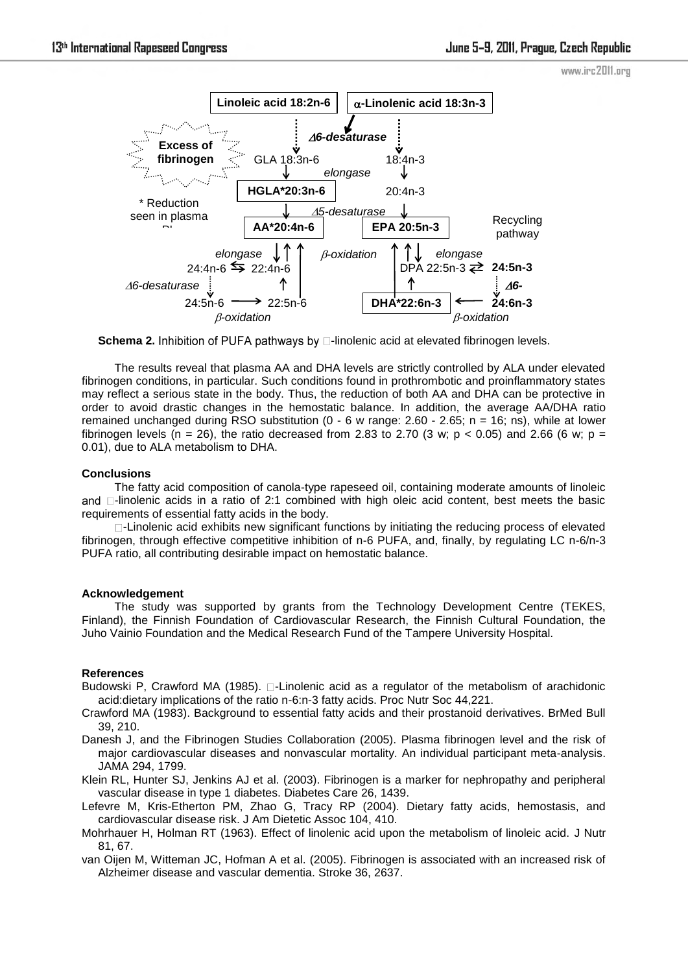



**Schema 2.** Inhibition of PUFA pathways by **D-linolenic acid at elevated fibrinogen levels.** 

The results reveal that plasma AA and DHA levels are strictly controlled by ALA under elevated fibrinogen conditions, in particular. Such conditions found in prothrombotic and proinflammatory states may reflect a serious state in the body. Thus, the reduction of both AA and DHA can be protective in order to avoid drastic changes in the hemostatic balance. In addition, the average AA/DHA ratio remained unchanged during RSO substitution  $(0 - 6 w$  range: 2.60 - 2.65; n = 16; ns), while at lower fibrinogen levels (n = 26), the ratio decreased from 2.83 to 2.70 (3 w; p < 0.05) and 2.66 (6 w; p = 0.01), due to ALA metabolism to DHA.

## **Conclusions**

The fatty acid composition of canola-type rapeseed oil, containing moderate amounts of linoleic and  $\Box$ -linolenic acids in a ratio of 2:1 combined with high oleic acid content, best meets the basic requirements of essential fatty acids in the body.

 $\Box$ -Linolenic acid exhibits new significant functions by initiating the reducing process of elevated fibrinogen, through effective competitive inhibition of n-6 PUFA, and, finally, by regulating LC n-6/n-3 PUFA ratio, all contributing desirable impact on hemostatic balance.

## **Acknowledgement**

The study was supported by grants from the Technology Development Centre (TEKES, Finland), the Finnish Foundation of Cardiovascular Research, the Finnish Cultural Foundation, the Juho Vainio Foundation and the Medical Research Fund of the Tampere University Hospital.

## **References**

- Budowski P, Crawford MA (1985).  $\square$ -Linolenic acid as a regulator of the metabolism of arachidonic acid:dietary implications of the ratio n-6:n-3 fatty acids. Proc Nutr Soc 44,221.
- Crawford MA (1983). Background to essential fatty acids and their prostanoid derivatives. BrMed Bull 39, 210.
- Danesh J, and the Fibrinogen Studies Collaboration (2005). Plasma fibrinogen level and the risk of major cardiovascular diseases and nonvascular mortality. An individual participant meta-analysis. JAMA 294, 1799.
- Klein RL, Hunter SJ, Jenkins AJ et al. (2003). Fibrinogen is a marker for nephropathy and peripheral vascular disease in type 1 diabetes. Diabetes Care 26, 1439.
- Lefevre M, Kris-Etherton PM, Zhao G, Tracy RP (2004). Dietary fatty acids, hemostasis, and cardiovascular disease risk. J Am Dietetic Assoc 104, 410.
- Mohrhauer H, Holman RT (1963). Effect of linolenic acid upon the metabolism of linoleic acid. J Nutr 81, 67.
- van Oijen M, Witteman JC, Hofman A et al. (2005). Fibrinogen is associated with an increased risk of Alzheimer disease and vascular dementia. Stroke 36, 2637.